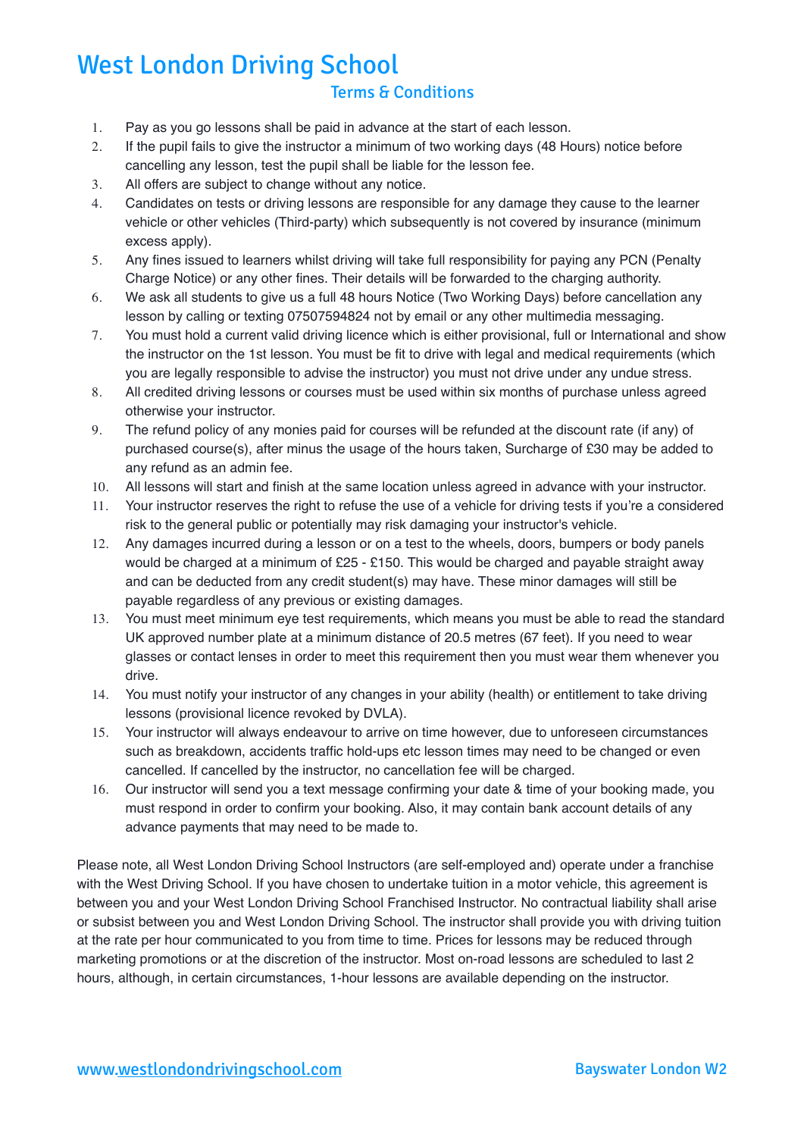## West London Driving School

## Terms & Conditions

- 1. Pay as you go lessons shall be paid in advance at the start of each lesson.
- 2. If the pupil fails to give the instructor a minimum of two working days (48 Hours) notice before cancelling any lesson, test the pupil shall be liable for the lesson fee.
- 3. All offers are subject to change without any notice.
- 4. Candidates on tests or driving lessons are responsible for any damage they cause to the learner vehicle or other vehicles (Third-party) which subsequently is not covered by insurance (minimum excess apply).
- 5. Any fines issued to learners whilst driving will take full responsibility for paying any PCN (Penalty Charge Notice) or any other fines. Their details will be forwarded to the charging authority.
- 6. We ask all students to give us a full 48 hours Notice (Two Working Days) before cancellation any lesson by calling or texting 07507594824 not by email or any other multimedia messaging.
- 7. You must hold a current valid driving licence which is either provisional, full or International and show the instructor on the 1st lesson. You must be fit to drive with legal and medical requirements (which you are legally responsible to advise the instructor) you must not drive under any undue stress.
- 8. All credited driving lessons or courses must be used within six months of purchase unless agreed otherwise your instructor.
- 9. The refund policy of any monies paid for courses will be refunded at the discount rate (if any) of purchased course(s), after minus the usage of the hours taken, Surcharge of £30 may be added to any refund as an admin fee.
- 10. All lessons will start and finish at the same location unless agreed in advance with your instructor.
- 11. Your instructor reserves the right to refuse the use of a vehicle for driving tests if you're a considered risk to the general public or potentially may risk damaging your instructor's vehicle.
- 12. Any damages incurred during a lesson or on a test to the wheels, doors, bumpers or body panels would be charged at a minimum of £25 - £150. This would be charged and payable straight away and can be deducted from any credit student(s) may have. These minor damages will still be payable regardless of any previous or existing damages.
- 13. You must meet minimum eye test requirements, which means you must be able to read the standard UK approved number plate at a minimum distance of 20.5 metres (67 feet). If you need to wear glasses or contact lenses in order to meet this requirement then you must wear them whenever you drive.
- 14. You must notify your instructor of any changes in your ability (health) or entitlement to take driving lessons (provisional licence revoked by DVLA).
- 15. Your instructor will always endeavour to arrive on time however, due to unforeseen circumstances such as breakdown, accidents traffic hold-ups etc lesson times may need to be changed or even cancelled. If cancelled by the instructor, no cancellation fee will be charged.
- 16. Our instructor will send you a text message confirming your date & time of your booking made, you must respond in order to confirm your booking. Also, it may contain bank account details of any advance payments that may need to be made to.

Please note, all West London Driving School Instructors (are self-employed and) operate under a franchise with the West Driving School. If you have chosen to undertake tuition in a motor vehicle, this agreement is between you and your West London Driving School Franchised Instructor. No contractual liability shall arise or subsist between you and West London Driving School. The instructor shall provide you with driving tuition at the rate per hour communicated to you from time to time. Prices for lessons may be reduced through marketing promotions or at the discretion of the instructor. Most on-road lessons are scheduled to last 2 hours, although, in certain circumstances, 1-hour lessons are available depending on the instructor.